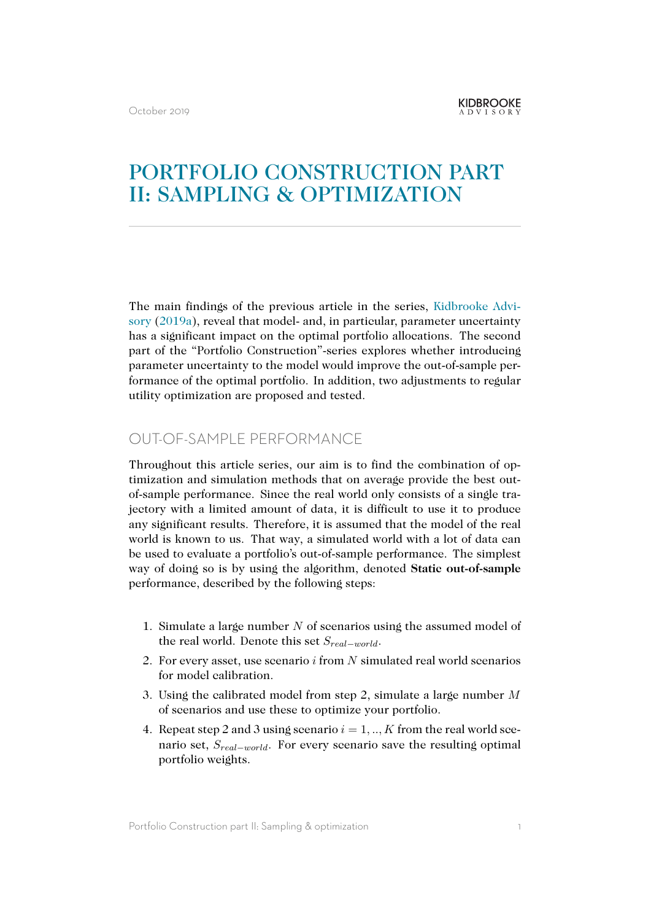# PORTFOLIO CONSTRUCTION PART II: SAMPLING & OPTIMIZATION

The main findings of the previous article in the series, Kidbrooke Advisory (2019a), reveal that model- and, in particular, parameter uncertainty has a significant impact on the optimal portfolio allocations. The second part of the "Portfolio Construction"-series explores whether introducing parameter uncertainty to the model would improve the o[ut-of-sample per](#page-6-0)[formance of](#page-6-0) the optimal portfolio. In addition, two adjustments to regular utility optimization are proposed and tested.

### OUT-OF-SAMPLE PERFORMANCE

Throughout this article series, our aim is to find the combination of optimization and simulation methods that on average provide the best outof-sample performance. Since the real world only consists of a single trajectory with a limited amount of data, it is difficult to use it to produce any significant results. Therefore, it is assumed that the model of the real world is known to us. That way, a simulated world with a lot of data can be used to evaluate a portfolio's out-of-sample performance. The simplest way of doing so is by using the algorithm, denoted **Static out-of-sample** performance, described by the following steps:

- 1. Simulate a large number *N* of scenarios using the assumed model of the real world. Denote this set *Sreal−world*.
- 2. For every asset, use scenario *i* from *N* simulated real world scenarios for model calibration.
- 3. Using the calibrated model from step 2, simulate a large number *M* of scenarios and use these to optimize your portfolio.
- 4. Repeat step 2 and 3 using scenario *i* = 1*, .., K* from the real world scenario set, *Sreal−world*. For every scenario save the resulting optimal portfolio weights.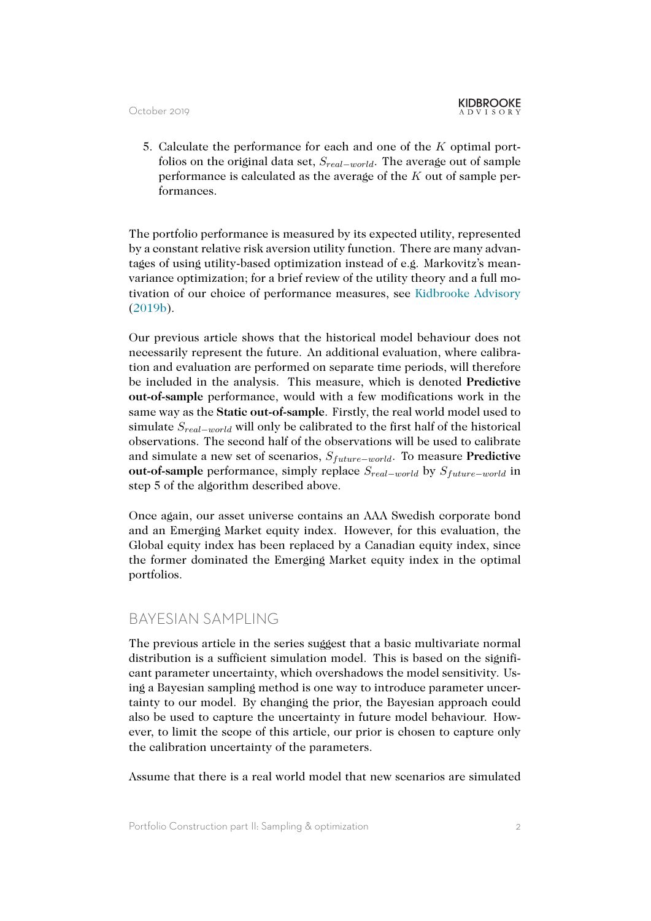5. Calculate the performance for each and one of the *K* optimal portfolios on the original data set, *Sreal−world*. The average out of sample performance is calculated as the average of the *K* out of sample performances.

The portfolio performance is measured by its expected utility, represented by a constant relative risk aversion utility function. There are many advantages of using utility-based optimization instead of e.g. Markovitz's meanvariance optimization; for a brief review of the utility theory and a full motivation of our choice of performance measures, see Kidbrooke Advisory (2019b).

Our previous article shows that the historical model behaviour does not necessarily represent the future. An additional evalu[ation, where calibra](#page-6-1)t[ion an](#page-6-1)d evaluation are performed on separate time periods, will therefore be included in the analysis. This measure, which is denoted **Predictive out-of-sample** performance, would with a few modifications work in the same way as the **Static out-of-sample**. Firstly, the real world model used to simulate *Sreal−world* will only be calibrated to the first half of the historical observations. The second half of the observations will be used to calibrate and simulate a new set of scenarios, *Sfuture−world*. To measure **Predictive out-of-sample** performance, simply replace *Sreal−world* by *Sfuture−world* in step 5 of the algorithm described above.

Once again, our asset universe contains an AAA Swedish corporate bond and an Emerging Market equity index. However, for this evaluation, the Global equity index has been replaced by a Canadian equity index, since the former dominated the Emerging Market equity index in the optimal portfolios.

### BAYESIAN SAMPLING

The previous article in the series suggest that a basic multivariate normal distribution is a sufficient simulation model. This is based on the significant parameter uncertainty, which overshadows the model sensitivity. Using a Bayesian sampling method is one way to introduce parameter uncertainty to our model. By changing the prior, the Bayesian approach could also be used to capture the uncertainty in future model behaviour. However, to limit the scope of this article, our prior is chosen to capture only the calibration uncertainty of the parameters.

Assume that there is a real world model that new scenarios are simulated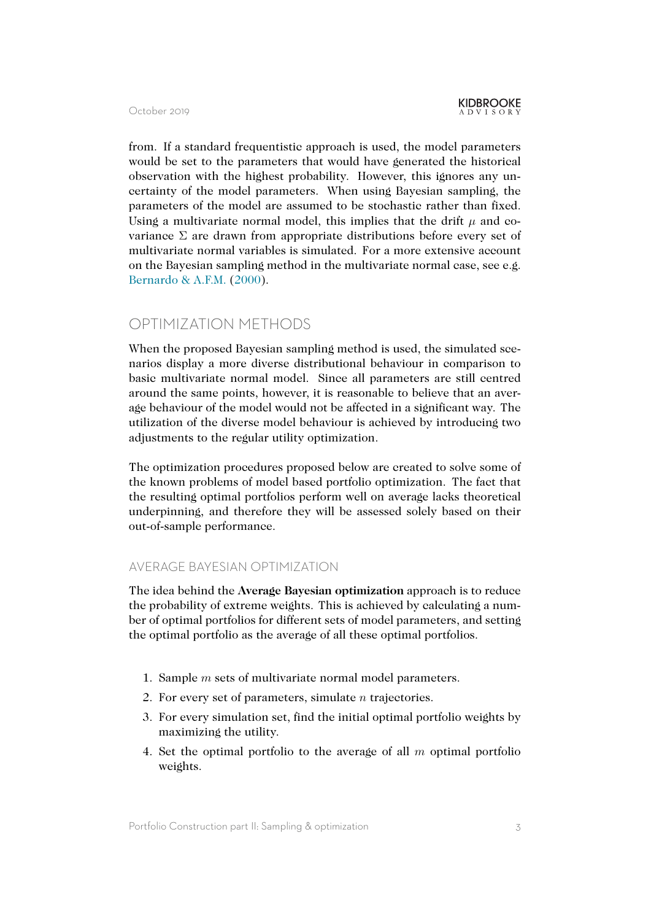from. If a standard frequentistic approach is used, the model parameters would be set to the parameters that would have generated the historical observation with the highest probability. However, this ignores any uncertainty of the model parameters. When using Bayesian sampling, the parameters of the model are assumed to be stochastic rather than fixed. Using a multivariate normal model, this implies that the drift  $\mu$  and covariance  $\Sigma$  are drawn from appropriate distributions before every set of multivariate normal variables is simulated. For a more extensive account on the Bayesian sampling method in the multivariate normal case, see e.g. Bernardo & A.F.M. (2000).

### [OPTIMIZATION MET](#page-6-2)HODS

When the proposed Bayesian sampling method is used, the simulated scenarios display a more diverse distributional behaviour in comparison to basic multivariate normal model. Since all parameters are still centred around the same points, however, it is reasonable to believe that an average behaviour of the model would not be affected in a significant way. The utilization of the diverse model behaviour is achieved by introducing two adjustments to the regular utility optimization.

The optimization procedures proposed below are created to solve some of the known problems of model based portfolio optimization. The fact that the resulting optimal portfolios perform well on average lacks theoretical underpinning, and therefore they will be assessed solely based on their out-of-sample performance.

#### AVERAGE BAYESIAN OPTIMIZATION

The idea behind the **Average Bayesian optimization** approach is to reduce the probability of extreme weights. This is achieved by calculating a number of optimal portfolios for different sets of model parameters, and setting the optimal portfolio as the average of all these optimal portfolios.

- 1. Sample *m* sets of multivariate normal model parameters.
- 2. For every set of parameters, simulate *n* trajectories.
- 3. For every simulation set, find the initial optimal portfolio weights by maximizing the utility.
- 4. Set the optimal portfolio to the average of all *m* optimal portfolio weights.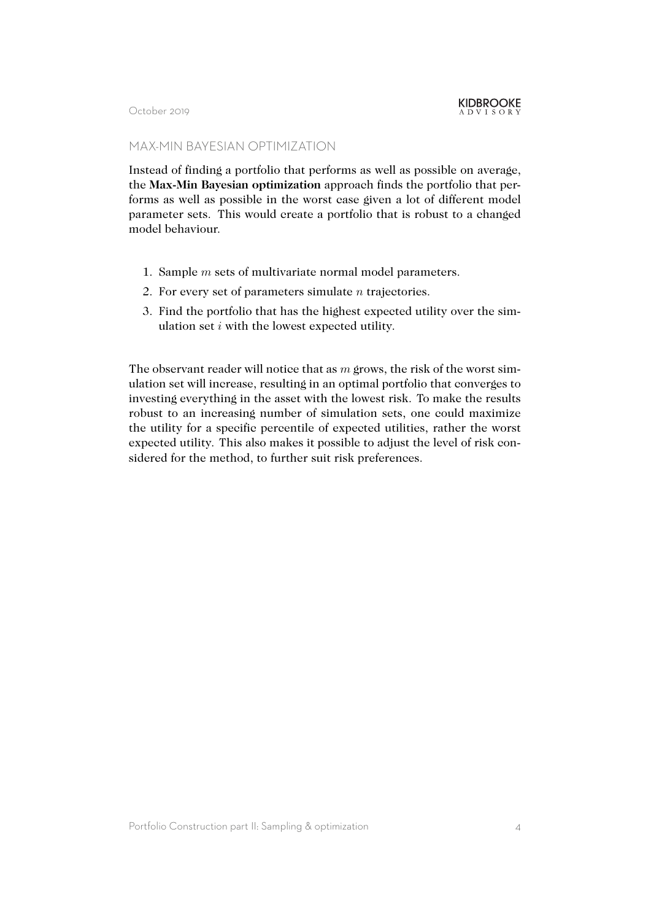#### MAX-MIN BAYESIAN OPTIMIZATION

Instead of finding a portfolio that performs as well as possible on average, the **Max-Min Bayesian optimization** approach finds the portfolio that performs as well as possible in the worst case given a lot of different model parameter sets. This would create a portfolio that is robust to a changed model behaviour.

- 1. Sample *m* sets of multivariate normal model parameters.
- 2. For every set of parameters simulate *n* trajectories.
- 3. Find the portfolio that has the highest expected utility over the simulation set *i* with the lowest expected utility.

The observant reader will notice that as *m* grows, the risk of the worst simulation set will increase, resulting in an optimal portfolio that converges to investing everything in the asset with the lowest risk. To make the results robust to an increasing number of simulation sets, one could maximize the utility for a specific percentile of expected utilities, rather the worst expected utility. This also makes it possible to adjust the level of risk considered for the method, to further suit risk preferences.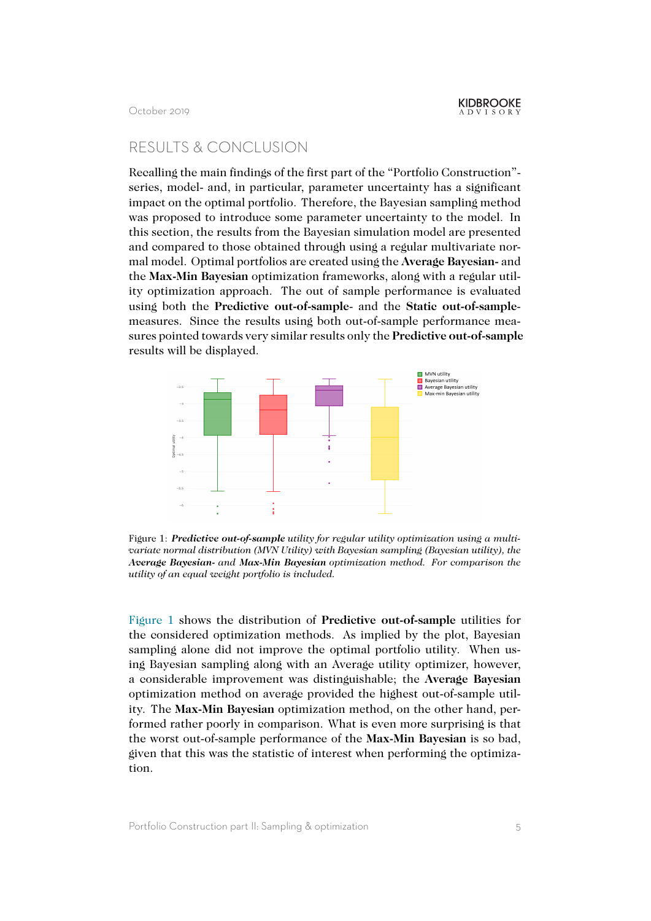## RESULTS & CONCLUSION

Recalling the main findings of the first part of the "Portfolio Construction" series, model- and, in particular, parameter uncertainty has a significant impact on the optimal portfolio. Therefore, the Bayesian sampling method was proposed to introduce some parameter uncertainty to the model. In this section, the results from the Bayesian simulation model are presented and compared to those obtained through using a regular multivariate normal model. Optimal portfolios are created using the **Average Bayesian-** and the **Max-Min Bayesian** optimization frameworks, along with a regular utility optimization approach. The out of sample performance is evaluated using both the **Predictive out-of-sample**- and the **Static out-of-sample**measures. Since the results using both out-of-sample performance measures pointed towards very similar results only the **Predictive out-of-sample** results will be displayed.

<span id="page-4-0"></span>

Figure 1: *Predictive out-of-sample utility for regular utility optimization using a multivariate normal distribution (MVN Utility) with Bayesian sampling (Bayesian utility), the Average Bayesian- and Max-Min Bayesian optimization method. For comparison the utility of an equal weight portfolio is included.*

Figure 1 shows the distribution of **Predictive out-of-sample** utilities for the considered optimization methods. As implied by the plot, Bayesian sampling alone did not improve the optimal portfolio utility. When using Bayesian sampling along with an Average utility optimizer, however, [a consid](#page-4-0)erable improvement was distinguishable; the **Average Bayesian** optimization method on average provided the highest out-of-sample utility. The **Max-Min Bayesian** optimization method, on the other hand, performed rather poorly in comparison. What is even more surprising is that the worst out-of-sample performance of the **Max-Min Bayesian** is so bad, given that this was the statistic of interest when performing the optimization.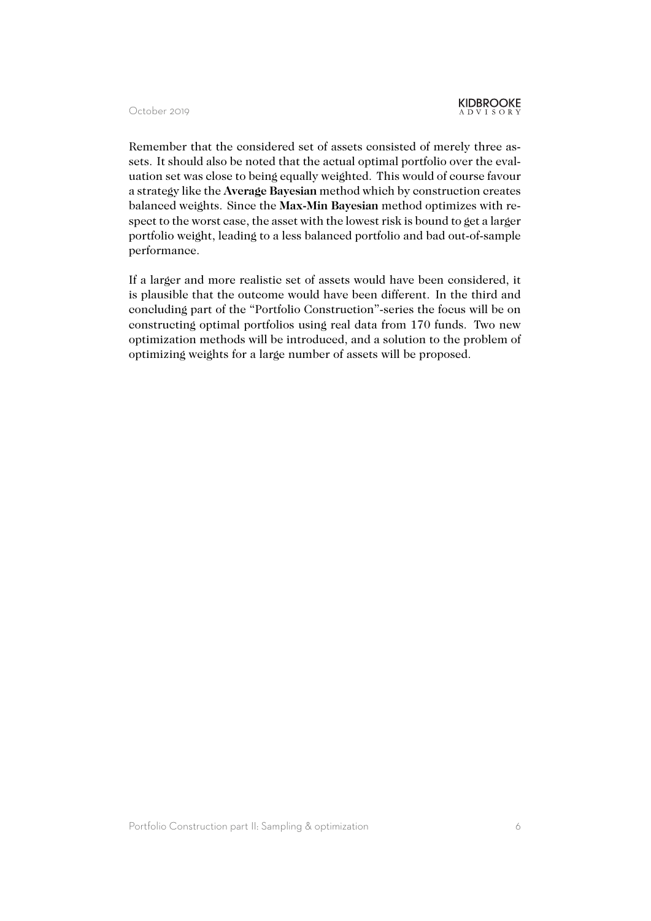Remember that the considered set of assets consisted of merely three assets. It should also be noted that the actual optimal portfolio over the evaluation set was close to being equally weighted. This would of course favour a strategy like the **Average Bayesian** method which by construction creates balanced weights. Since the **Max-Min Bayesian** method optimizes with respect to the worst case, the asset with the lowest risk is bound to get a larger portfolio weight, leading to a less balanced portfolio and bad out-of-sample performance.

If a larger and more realistic set of assets would have been considered, it is plausible that the outcome would have been different. In the third and concluding part of the "Portfolio Construction"-series the focus will be on constructing optimal portfolios using real data from 170 funds. Two new optimization methods will be introduced, and a solution to the problem of optimizing weights for a large number of assets will be proposed.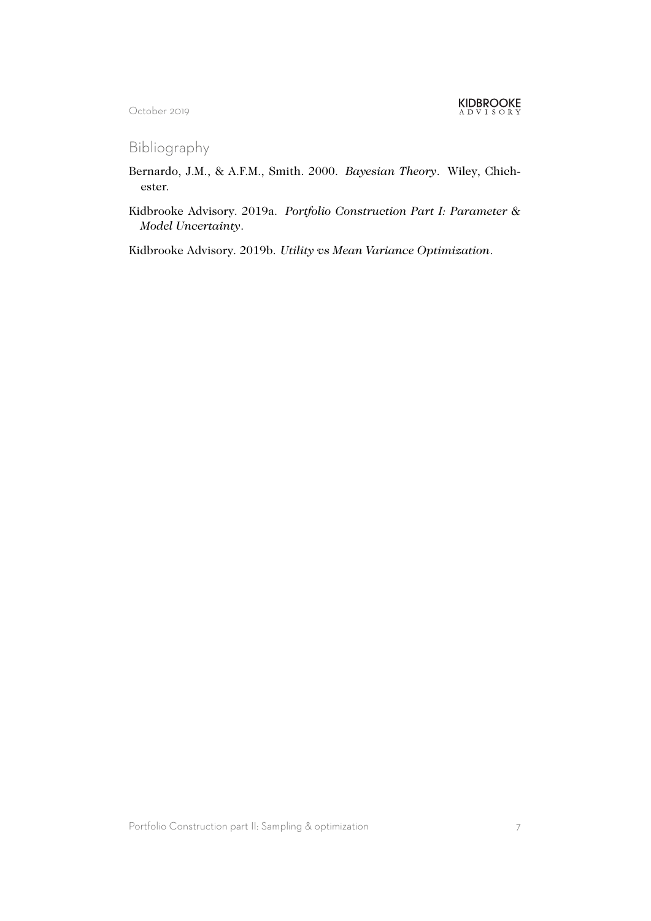Bibliography

- <span id="page-6-2"></span>Bernardo, J.M., & A.F.M., Smith. 2000. *Bayesian Theory*. Wiley, Chichester.
- <span id="page-6-0"></span>Kidbrooke Advisory. 2019a. *Portfolio Construction Part I: Parameter & Model Uncertainty*.

<span id="page-6-1"></span>Kidbrooke Advisory. 2019b. *Utility vs Mean Variance Optimization*.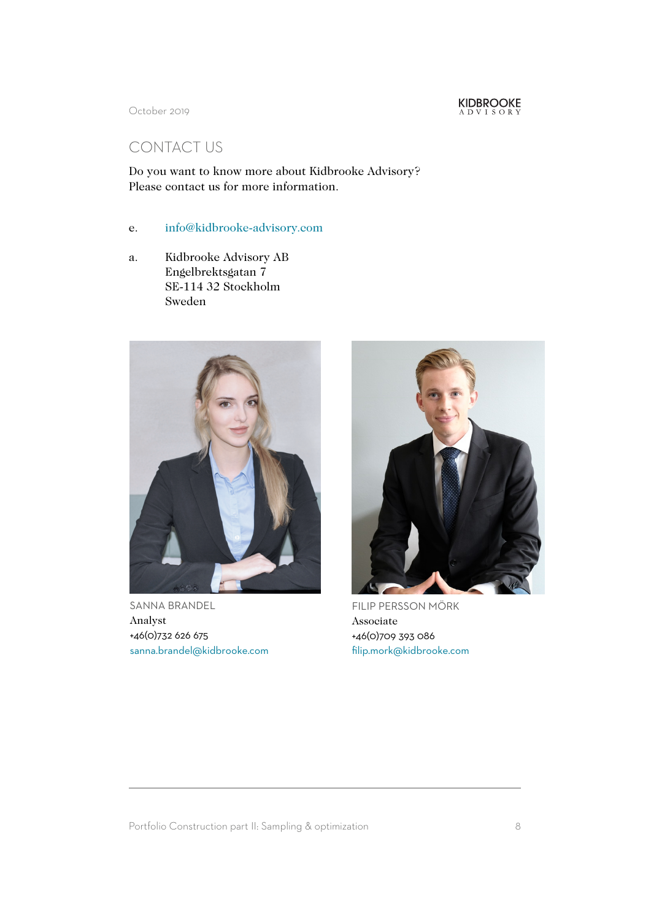

# CONTACT US

Do you want to know more about Kidbrooke Advisory? Please contact us for more information.

- e. info@kidbrooke-advisory.com
- a. Kidbrooke Advisory AB Engelbrektsgatan 7 [SE-114 32 Stockholm](mailto:info@kidbrooke-advisory.com) Sweden



SANNA BRANDEL Analyst +46(0)732 626 675 sanna.brandel@kidbrooke.com



FILIP PERSSON MÖRK Associate +46(0)709 393 086 filip.mork@kidbrooke.com